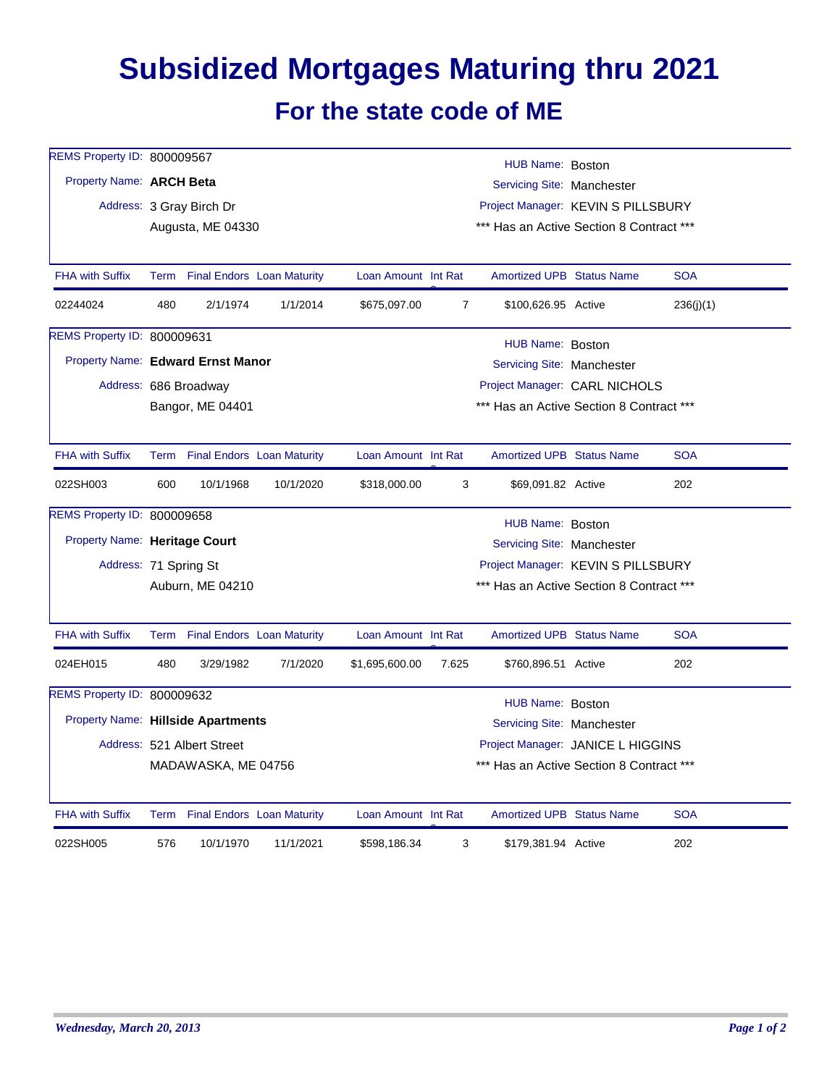## **Subsidized Mortgages Maturing thru 2021 For the state code of ME**

| REMS Property ID: 800009567       |                                                                                      |                                 |           |                                    |                                          | HUB Name: Boston                         |  |            |  |  |
|-----------------------------------|--------------------------------------------------------------------------------------|---------------------------------|-----------|------------------------------------|------------------------------------------|------------------------------------------|--|------------|--|--|
| Property Name: ARCH Beta          |                                                                                      |                                 |           | Servicing Site: Manchester         |                                          |                                          |  |            |  |  |
|                                   |                                                                                      | Address: 3 Gray Birch Dr        |           | Project Manager: KEVIN S PILLSBURY |                                          |                                          |  |            |  |  |
|                                   |                                                                                      | Augusta, ME 04330               |           |                                    | *** Has an Active Section 8 Contract *** |                                          |  |            |  |  |
|                                   |                                                                                      |                                 |           |                                    |                                          |                                          |  |            |  |  |
| <b>FHA with Suffix</b>            |                                                                                      | Term Final Endors Loan Maturity |           | Loan Amount Int Rat                |                                          | <b>Amortized UPB Status Name</b>         |  | <b>SOA</b> |  |  |
| 02244024                          | 480                                                                                  | 2/1/1974                        | 1/1/2014  | \$675,097.00                       | $\overline{7}$                           | \$100,626.95 Active                      |  | 236(j)(1)  |  |  |
| REMS Property ID: 800009631       |                                                                                      |                                 |           |                                    |                                          | HUB Name: Boston                         |  |            |  |  |
| Property Name: Edward Ernst Manor |                                                                                      |                                 |           |                                    |                                          | Servicing Site: Manchester               |  |            |  |  |
|                                   |                                                                                      | Address: 686 Broadway           |           |                                    |                                          | Project Manager: CARL NICHOLS            |  |            |  |  |
|                                   |                                                                                      | Bangor, ME 04401                |           |                                    | *** Has an Active Section 8 Contract *** |                                          |  |            |  |  |
|                                   |                                                                                      |                                 |           |                                    |                                          |                                          |  |            |  |  |
| <b>FHA with Suffix</b>            |                                                                                      | Term Final Endors Loan Maturity |           | Loan Amount Int Rat                |                                          | <b>Amortized UPB Status Name</b>         |  | <b>SOA</b> |  |  |
| 022SH003                          | 600                                                                                  | 10/1/1968                       | 10/1/2020 | \$318,000.00                       | 3                                        | \$69,091.82 Active                       |  | 202        |  |  |
| REMS Property ID: 800009658       |                                                                                      |                                 |           |                                    |                                          | HUB Name: Boston                         |  |            |  |  |
| Property Name: Heritage Court     |                                                                                      |                                 |           | Servicing Site: Manchester         |                                          |                                          |  |            |  |  |
|                                   | Address: 71 Spring St                                                                |                                 |           | Project Manager: KEVIN S PILLSBURY |                                          |                                          |  |            |  |  |
|                                   |                                                                                      | Auburn, ME 04210                |           |                                    | *** Has an Active Section 8 Contract *** |                                          |  |            |  |  |
|                                   |                                                                                      |                                 |           |                                    |                                          |                                          |  |            |  |  |
| <b>FHA with Suffix</b>            |                                                                                      | Term Final Endors Loan Maturity |           | Loan Amount Int Rat                |                                          | <b>Amortized UPB Status Name</b>         |  | <b>SOA</b> |  |  |
| 024EH015                          | 480                                                                                  | 3/29/1982                       | 7/1/2020  | \$1,695,600.00                     | 7.625                                    | \$760,896.51 Active                      |  | 202        |  |  |
| REMS Property ID: 800009632       |                                                                                      |                                 |           |                                    |                                          |                                          |  |            |  |  |
|                                   | HUB Name: Boston<br>Property Name: Hillside Apartments<br>Servicing Site: Manchester |                                 |           |                                    |                                          |                                          |  |            |  |  |
|                                   |                                                                                      | Address: 521 Albert Street      |           |                                    | Project Manager: JANICE L HIGGINS        |                                          |  |            |  |  |
|                                   |                                                                                      | MADAWASKA, ME 04756             |           |                                    |                                          | *** Has an Active Section 8 Contract *** |  |            |  |  |
|                                   |                                                                                      |                                 |           |                                    |                                          |                                          |  |            |  |  |
| <b>FHA with Suffix</b>            |                                                                                      | Term Final Endors Loan Maturity |           | Loan Amount Int Rat                |                                          | <b>Amortized UPB Status Name</b>         |  | <b>SOA</b> |  |  |
| 022SH005                          | 576                                                                                  | 10/1/1970                       | 11/1/2021 | \$598,186.34                       | 3                                        | \$179,381.94 Active                      |  | 202        |  |  |